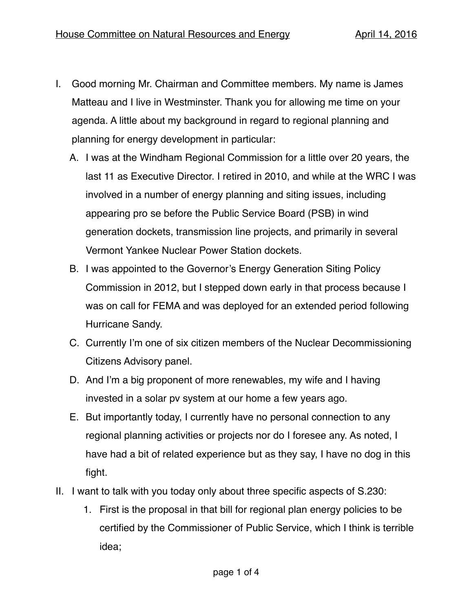- I. Good morning Mr. Chairman and Committee members. My name is James Matteau and I live in Westminster. Thank you for allowing me time on your agenda. A little about my background in regard to regional planning and planning for energy development in particular:
	- A. I was at the Windham Regional Commission for a little over 20 years, the last 11 as Executive Director. I retired in 2010, and while at the WRC I was involved in a number of energy planning and siting issues, including appearing pro se before the Public Service Board (PSB) in wind generation dockets, transmission line projects, and primarily in several Vermont Yankee Nuclear Power Station dockets.
	- B. I was appointed to the Governor's Energy Generation Siting Policy Commission in 2012, but I stepped down early in that process because I was on call for FEMA and was deployed for an extended period following Hurricane Sandy.
	- C. Currently I'm one of six citizen members of the Nuclear Decommissioning Citizens Advisory panel.
	- D. And I'm a big proponent of more renewables, my wife and I having invested in a solar pv system at our home a few years ago.
	- E. But importantly today, I currently have no personal connection to any regional planning activities or projects nor do I foresee any. As noted, I have had a bit of related experience but as they say, I have no dog in this fight.
- II. I want to talk with you today only about three specific aspects of S.230:
	- 1. First is the proposal in that bill for regional plan energy policies to be certified by the Commissioner of Public Service, which I think is terrible idea;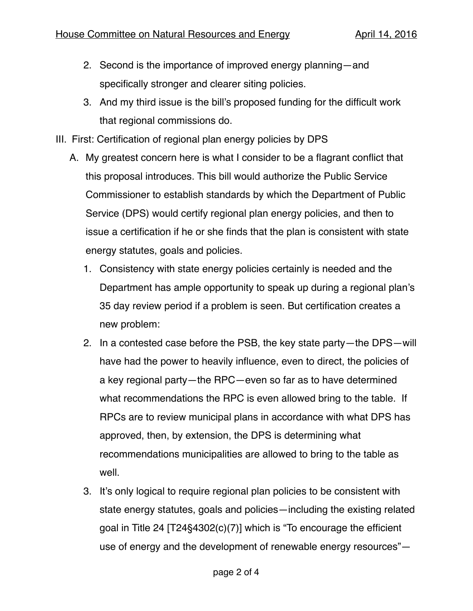- 2. Second is the importance of improved energy planning—and specifically stronger and clearer siting policies.
- 3. And my third issue is the bill's proposed funding for the difficult work that regional commissions do.
- III. First: Certification of regional plan energy policies by DPS
	- A. My greatest concern here is what I consider to be a flagrant conflict that this proposal introduces. This bill would authorize the Public Service Commissioner to establish standards by which the Department of Public Service (DPS) would certify regional plan energy policies, and then to issue a certification if he or she finds that the plan is consistent with state energy statutes, goals and policies.
		- 1. Consistency with state energy policies certainly is needed and the Department has ample opportunity to speak up during a regional plan's 35 day review period if a problem is seen. But certification creates a new problem:
		- 2. In a contested case before the PSB, the key state party—the DPS—will have had the power to heavily influence, even to direct, the policies of a key regional party—the RPC—even so far as to have determined what recommendations the RPC is even allowed bring to the table. If RPCs are to review municipal plans in accordance with what DPS has approved, then, by extension, the DPS is determining what recommendations municipalities are allowed to bring to the table as well.
		- 3. It's only logical to require regional plan policies to be consistent with state energy statutes, goals and policies—including the existing related goal in Title 24 [T24§4302(c)(7)] which is "To encourage the efficient use of energy and the development of renewable energy resources"—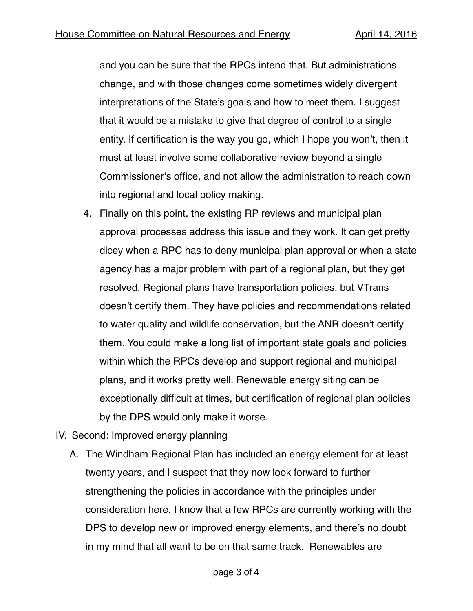and you can be sure that the RPCs intend that. But administrations change, and with those changes come sometimes widely divergent interpretations of the State's goals and how to meet them. I suggest that it would be a mistake to give that degree of control to a single entity. If certification is the way you go, which I hope you won't, then it must at least involve some collaborative review beyond a single Commissioner's office, and not allow the administration to reach down into regional and local policy making.

- 4. Finally on this point, the existing RP reviews and municipal plan approval processes address this issue and they work. It can get pretty dicey when a RPC has to deny municipal plan approval or when a state agency has a major problem with part of a regional plan, but they get resolved. Regional plans have transportation policies, but VTrans doesn't certify them. They have policies and recommendations related to water quality and wildlife conservation, but the ANR doesn't certify them. You could make a long list of important state goals and policies within which the RPCs develop and support regional and municipal plans, and it works pretty well. Renewable energy siting can be exceptionally difficult at times, but certification of regional plan policies by the DPS would only make it worse.
- IV. Second: Improved energy planning
	- A. The Windham Regional Plan has included an energy element for at least twenty years, and I suspect that they now look forward to further strengthening the policies in accordance with the principles under consideration here. I know that a few RPCs are currently working with the DPS to develop new or improved energy elements, and there's no doubt in my mind that all want to be on that same track. Renewables are